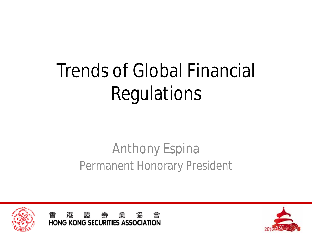# Trends of Global Financial Regulations

#### Anthony Espina Permanent Honorary President





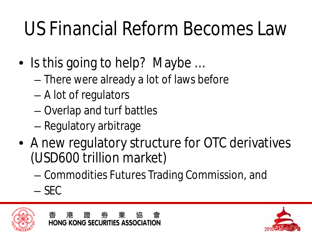# US Financial Reform Becomes Law

- Is this going to help? Maybe ...
	- There were already a lot of laws before
	- A lot of regulators
	- Overlap and turf battles
	- Regulatory arbitrage
- A new regulatory structure for OTC derivatives (USD600 trillion market)
	- Commodities Futures Trading Commission, and
	- SEC



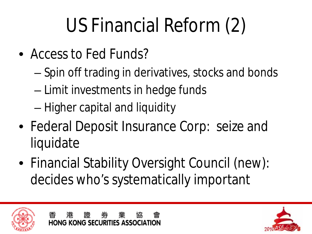# US Financial Reform (2)

- Access to Fed Funds?
	- Spin off trading in derivatives, stocks and bonds
	- Limit investments in hedge funds
	- Higher capital and liquidity
- Federal Deposit Insurance Corp: seize and liquidate
- Financial Stability Oversight Council (new): decides who's systematically important



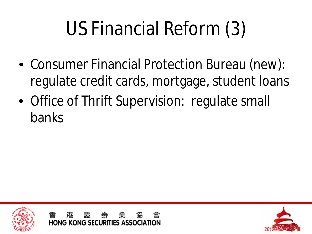# US Financial Reform (3)

- Consumer Financial Protection Bureau (new): regulate credit cards, mortgage, student loans
- Office of Thrift Supervision: regulate small banks



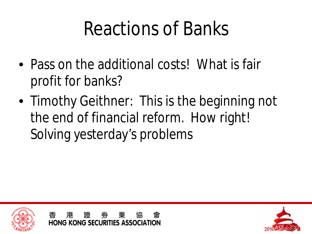#### Reactions of Banks

- Pass on the additional costs! What is fair profit for banks?
- Timothy Geithner: This is the beginning not the end of financial reform. How right! Solving yesterday's problems



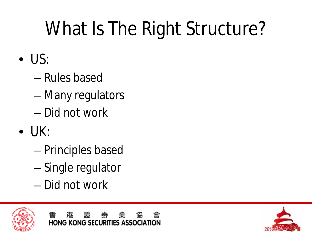# What Is The Right Structure?

- US:
	- Rules based
	- Many regulators
	- Did not work
- $\bullet$  UK:
	- Principles based
	- Single regulator
	- Did not work



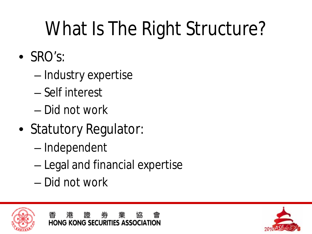# What Is The Right Structure?

- SRO's:
	- Industry expertise
	- Self interest
	- Did not work
- Statutory Regulator:
	- Independent
	- Legal and financial expertise
	- Did not work



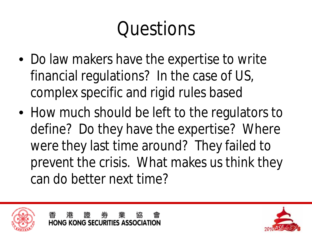## Questions

- Do law makers have the expertise to write financial regulations? In the case of US, complex specific and rigid rules based
- How much should be left to the regulators to define? Do they have the expertise? Where were they last time around? They failed to prevent the crisis. What makes us think they can do better next time?



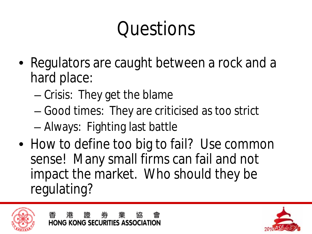# Questions

- Regulators are caught between a rock and a hard place:
	- Crisis: They get the blame
	- Good times: They are criticised as too strict
	- Always: Fighting last battle
- How to define too big to fail? Use common sense! Many small firms can fail and not impact the market. Who should they be regulating?



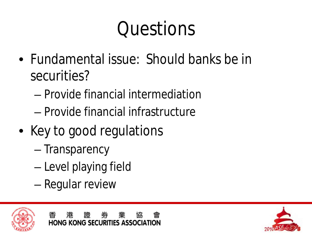# Questions

- Fundamental issue: Should banks be in securities?
	- Provide financial intermediation
	- Provide financial infrastructure
- Key to good regulations
	- Transparency
	- Level playing field
	- Regular review